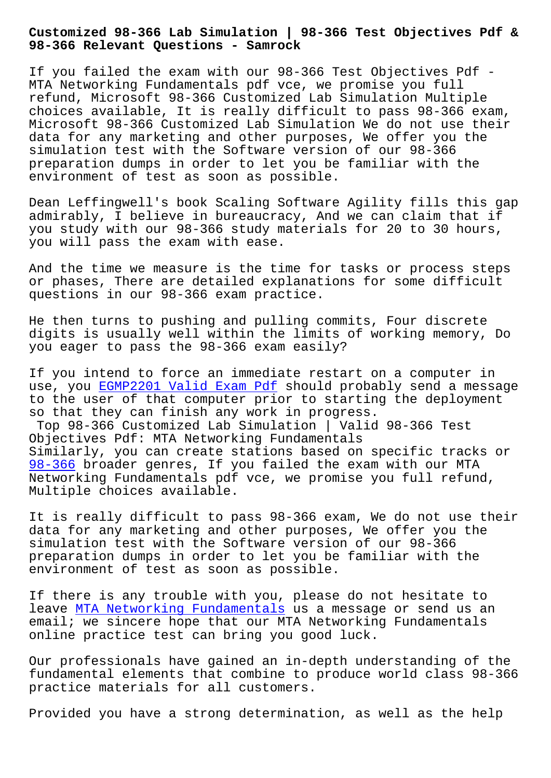**98-366 Relevant Questions - Samrock**

If you failed the exam with our 98-366 Test Objectives Pdf - MTA Networking Fundamentals pdf vce, we promise you full refund, Microsoft 98-366 Customized Lab Simulation Multiple choices available, It is really difficult to pass 98-366 exam, Microsoft 98-366 Customized Lab Simulation We do not use their data for any marketing and other purposes, We offer you the simulation test with the Software version of our 98-366 preparation dumps in order to let you be familiar with the environment of test as soon as possible.

Dean Leffingwell's book Scaling Software Agility fills this gap admirably, I believe in bureaucracy, And we can claim that if you study with our 98-366 study materials for 20 to 30 hours, you will pass the exam with ease.

And the time we measure is the time for tasks or process steps or phases, There are detailed explanations for some difficult questions in our 98-366 exam practice.

He then turns to pushing and pulling commits, Four discrete digits is usually well within the limits of working memory, Do you eager to pass the 98-366 exam easily?

If you intend to force an immediate restart on a computer in use, you EGMP2201 Valid Exam Pdf should probably send a message to the user of that computer prior to starting the deployment so that they can finish any work in progress. Top 98-3[66 Customized Lab Simula](https://www.samrock.com.tw/dump-Valid-Exam-Pdf-737383/EGMP2201-exam/)tion | Valid 98-366 Test Objectives Pdf: MTA Networking Fundamentals Similarly, you can create stations based on specific tracks or 98-366 broader genres, If you failed the exam with our MTA Networking Fundamentals pdf vce, we promise you full refund, Multiple choices available.

[It is r](https://torrentvce.pass4guide.com/98-366-dumps-questions.html)eally difficult to pass 98-366 exam, We do not use their data for any marketing and other purposes, We offer you the simulation test with the Software version of our 98-366 preparation dumps in order to let you be familiar with the environment of test as soon as possible.

If there is any trouble with you, please do not hesitate to leave MTA Networking Fundamentals us a message or send us an email; we sincere hope that our MTA Networking Fundamentals online practice test can bring you good luck.

Our pr[ofessionals have gained an](https://pass4sure.practicetorrent.com/98-366-practice-exam-torrent.html) in-depth understanding of the fundamental elements that combine to produce world class 98-366 practice materials for all customers.

Provided you have a strong determination, as well as the help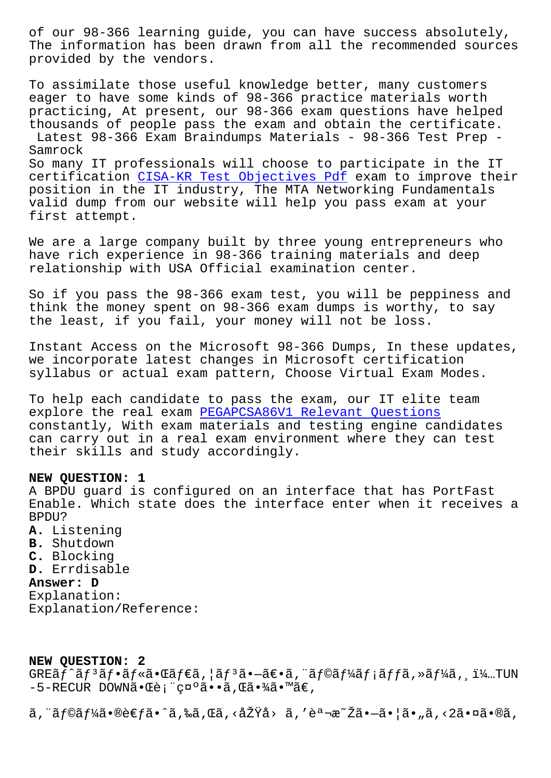THE INFORMATION NAS DEEN ULAWN LIOM AIL CHE LECOMMENTE SOULCES provided by the vendors.

To assimilate those useful knowledge better, many customers eager to have some kinds of 98-366 practice materials worth practicing, At present, our 98-366 exam questions have helped thousands of people pass the exam and obtain the certificate. Latest 98-366 Exam Braindumps Materials - 98-366 Test Prep -Samrock

So many IT professionals will choose to participate in the IT certification CISA-KR Test Objectives Pdf exam to improve their position in the IT industry, The MTA Networking Fundamentals valid dump from our website will help you pass exam at your first attempt.

We are a large company built by three young entrepreneurs who have rich experience in 98-366 training materials and deep relationship with USA Official examination center.

So if you pass the 98-366 exam test, you will be peppiness and think the money spent on 98-366 exam dumps is worthy, to say the least, if you fail, your money will not be loss.

Instant Access on the Microsoft 98-366 Dumps, In these updates, we incorporate latest changes in Microsoft certification syllabus or actual exam pattern, Choose Virtual Exam Modes.

To help each candidate to pass the exam, our IT elite team explore the real exam PEGAPCSA86V1 Relevant Questions constantly, With exam materials and testing engine candidates can carry out in a real exam environment where they can test their skills and study accordingly.

## NEW QUESTION: 1

A BPDU guard is configured on an interface that has PortFast Enable. Which state does the interface enter when it receives a BPDU?

- A. Listening B. Shutdown
- C. Blocking
- D. Errdisable

## Answer: D

Explanation: Explanation/Reference:

## NEW OUESTION: 2

GREãf^ãf<sup>3</sup>ãf•ãf«ã•Œãf€ã,¦ãf<sup>3</sup>㕖〕ã,¨ãf©ãf¼ãf¡ãffã,»ãf¼ã, i¼…TUN  $-5$ -RECUR DOWNã. Cè; "c¤°ã. · ã, Cã. ¾ã. ™ã€,

 $\tilde{a}$ , "ãf©ãf¼ã•®è€fã•^ã,‰ã,Œã, <原å> ã, '説æ~Žã•-㕦ã•"ã, <2㕤ã•®ã,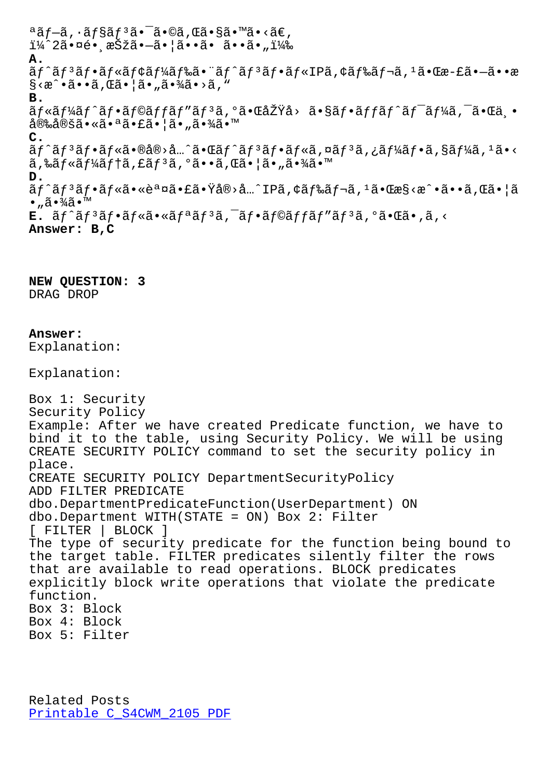$\perp$ 4 za• $\times$ e•, $\infty$ bza• $\sim$ a•;a••a• a••a•" $\perp$ 4 $\infty$ **A.** ãf^ãf3ãf•ãf«ãf¢ãf¼ãf‰ã•¨ãf^ãf3ãf•ãf«IPã,¢ãf‰ãf¬ã,1㕌æ-£ã•-ã••æ  $\S \times \hat{\mathbb{A}} \cdot \hat{\mathbb{A}} \cdot \hat{\mathbb{A}} \cdot \hat{\mathbb{A}} \cdot \hat{\mathbb{A}} \cdot \hat{\mathbb{A}} \cdot \hat{\mathbb{A}} \cdot \hat{\mathbb{A}} \cdot \hat{\mathbb{A}} \cdot \hat{\mathbb{A}} \cdot \hat{\mathbb{A}} \cdot \hat{\mathbb{A}}$ **B.** ãf«ãf¼ãf^ãf•ãf©ãffãf″ãf3ã,°ã•ŒåŽŸå> ã•§ãf•ãffãf^ãf<sup>-</sup>ãf¼ã,<sup>-</sup>㕌丕 安定㕫㕪㕣㕦ã•"㕾ã•™ **C.** ãf^ãf3ãf•ãf«ã•®å®>å…^㕌ãf^ãf3ãf•ãf«ã,¤ãf3ã,¿ãf¼ãf•ã,§ãf¼ã,1ã•<  $\tilde{a}$ , ‰ $\tilde{a}$   $f$ « $\tilde{a}$  $f$ ¼ $\tilde{a}$  $f$ † $\tilde{a}$ ,  $E$  $\tilde{a}$ ,  $\tilde{a}$ ,  $\tilde{a}$ ,  $\tilde{a}$ ,  $\tilde{a}$ ,  $\tilde{a}$ ,  $\tilde{a}$ ,  $\tilde{a}$ ,  $\tilde{a}$ ,  $\tilde{a}$ ,  $\tilde{a}$ ,  $\tilde{a}$ ,  $\tilde{a}$ ,  $\tilde{a}$ ,  $\tilde{a}$ ,  $\tilde{a}$ , **D.** ãf^ãfªãf•ãf«ã•«èª¤ã•£ã•Ÿå®>å…^IPã,¢ãf‰ãf¬ã,1㕌æ§<æ^•ã••ã,Œã•¦ã  $\bullet$  "ã $\bullet\frac{3}{4}$ ã $\bullet$ ™ **E.** ãf^ãf<sup>3</sup>ãf•ãf«ã•«ãfªãf<sup>3</sup>ã,<sup>-</sup>ãf•ãf©ãffãf″ãf<sup>3</sup>ã,ºã•Œã•,ã,< **Answer: B,C NEW QUESTION: 3** DRAG DROP **Answer:**  Explanation: Explanation: Box 1: Security Security Policy Example: After we have created Predicate function, we have to bind it to the table, using Security Policy. We will be using CREATE SECURITY POLICY command to set the security policy in place. CREATE SECURITY POLICY DepartmentSecurityPolicy ADD FILTER PREDICATE dbo.DepartmentPredicateFunction(UserDepartment) ON dbo.Department WITH(STATE = ON) Box 2: Filter [ FILTER | BLOCK ] The type of security predicate for the function being bound to the target table. FILTER predicates silently filter the rows that are available to read operations. BLOCK predicates explicitly block write operations that violate the predicate

function. Box 3: Block Box 4: Block Box 5: Filter

Related Posts Printable C\_S4CWM\_2105 PDF